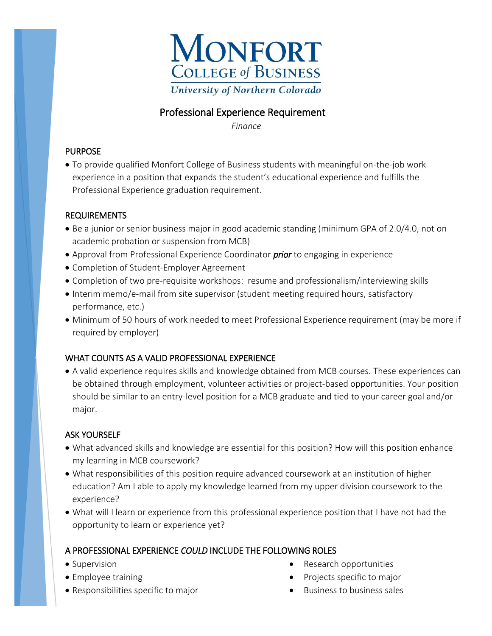

## Professional Experience Requirement

*Finance* 

#### PURPOSE

 To provide qualified Monfort College of Business students with meaningful on-the-job work experience in a position that expands the student's educational experience and fulfills the Professional Experience graduation requirement.

#### REQUIREMENTS

- Be a junior or senior business major in good academic standing (minimum GPA of 2.0/4.0, not on academic probation or suspension from MCB)
- Approval from Professional Experience Coordinator *prior* to engaging in experience
- Completion of Student-Employer Agreement
- Completion of two pre-requisite workshops: resume and professionalism/interviewing skills
- Interim memo/e-mail from site supervisor (student meeting required hours, satisfactory performance, etc.)
- Minimum of 50 hours of work needed to meet Professional Experience requirement (may be more if required by employer)

## WHAT COUNTS AS A VALID PROFESSIONAL EXPERIENCE

 A valid experience requires skills and knowledge obtained from MCB courses. These experiences can be obtained through employment, volunteer activities or project-based opportunities. Your position should be similar to an entry-level position for a MCB graduate and tied to your career goal and/or major.

## ASK YOURSELF

- What advanced skills and knowledge are essential for this position? How will this position enhance my learning in MCB coursework?
- What responsibilities of this position require advanced coursework at an institution of higher education? Am I able to apply my knowledge learned from my upper division coursework to the experience?
- What will I learn or experience from this professional experience position that I have not had the opportunity to learn or experience yet?

## A PROFESSIONAL EXPERIENCE *COULD* INCLUDE THE FOLLOWING ROLES

- Supervision
- Employee training
- Responsibilities specific to major
- Research opportunities
- Projects specific to major
- $\bullet$  Business to business sales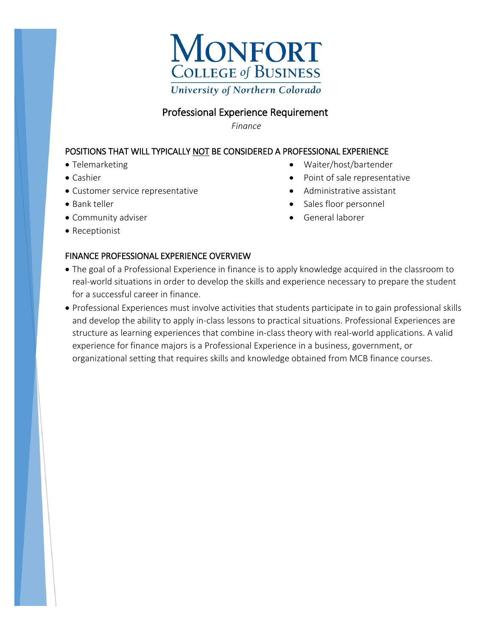

## Professional Experience Requirement

*Finance*

#### POSITIONS THAT WILL TYPICALLY NOT BE CONSIDERED A PROFESSIONAL EXPERIENCE

- Telemarketing
- Cashier
- Customer service representative
- Bank teller
- Community adviser
- Receptionist

# FINANCE PROFESSIONAL EXPERIENCE OVERVIEW

- Waiter/host/bartender
- Point of sale representative
- Administrative assistant
- Sales floor personnel
- General laborer
- The goal of a Professional Experience in finance is to apply knowledge acquired in the classroom to real-world situations in order to develop the skills and experience necessary to prepare the student for a successful career in finance.
- Professional Experiences must involve activities that students participate in to gain professional skills and develop the ability to apply in-class lessons to practical situations. Professional Experiences are structure as learning experiences that combine in-class theory with real-world applications. A valid experience for finance majors is a Professional Experience in a business, government, or organizational setting that requires skills and knowledge obtained from MCB finance courses.